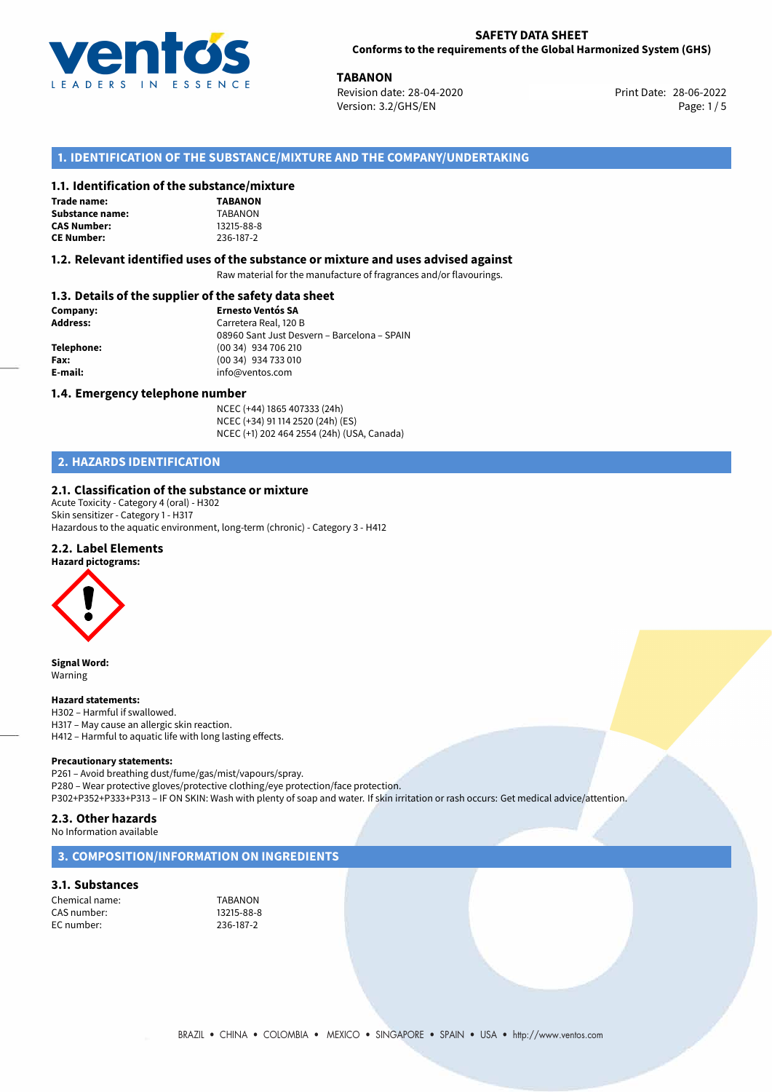

**TABANON**<br>
Revision date: 28-04-2020 **Print Date: 28-06-2022** Version: 3.2/GHS/EN Page: 1/5

## **1. IDENTIFICATION OF THE SUBSTANCE/MIXTURE AND THE COMPANY/UNDERTAKING**

## **1.1. Identification of the substance/mixture**

| Trade name:        |
|--------------------|
| Substance name:    |
| <b>CAS Number:</b> |
| <b>CE Number:</b>  |

**TABANON Substance name:** TABANON **CAS Number:** 13215-88-8 **CE Number:** 236-187-2

## **1.2. Relevant identified uses of the substance or mixture and uses advised against**

Raw material for the manufacture of fragrances and/or flavourings.

## **1.3. Details of the supplier of the safety data sheet**

| Company:        | <b>Ernesto Ventós SA</b>                    |  |
|-----------------|---------------------------------------------|--|
| <b>Address:</b> | Carretera Real, 120 B                       |  |
|                 | 08960 Sant Just Desvern - Barcelona - SPAIN |  |
| Telephone:      | (00 34) 934 706 210                         |  |
| Fax:            | (00 34) 934 733 010                         |  |
| E-mail:         | info@ventos.com                             |  |
|                 |                                             |  |

## **1.4. Emergency telephone number**

NCEC (+44) 1865 407333 (24h) NCEC (+34) 91 114 2520 (24h) (ES) NCEC (+1) 202 464 2554 (24h) (USA, Canada)

## **2. HAZARDS IDENTIFICATION**

## **2.1. Classification of the substance or mixture**

Acute Toxicity - Category 4 (oral) - H302 Skin sensitizer - Category 1 - H317 Hazardous to the aquatic environment, long-term (chronic) - Category 3 - H412

## **2.2. Label Elements**



**Signal Word:** Warning

#### **Hazard statements:**

H302 – Harmful if swallowed. H317 – May cause an allergic skin reaction. H412 – Harmful to aquatic life with long lasting effects.

#### **Precautionary statements:**

P261 – Avoid breathing dust/fume/gas/mist/vapours/spray. P280 – Wear protective gloves/protective clothing/eye protection/face protection. P302+P352+P333+P313 – IF ON SKIN: Wash with plenty of soap and water. If skin irritation or rash occurs: Get medical advice/attention.

## **2.3. Other hazards**

No Information available

## **3. COMPOSITION/INFORMATION ON INGREDIENTS**

## **3.1. Substances**

Chemical name: TABANON<br>CAS number: 13215-88-8 CAS number: EC number: 236-187-2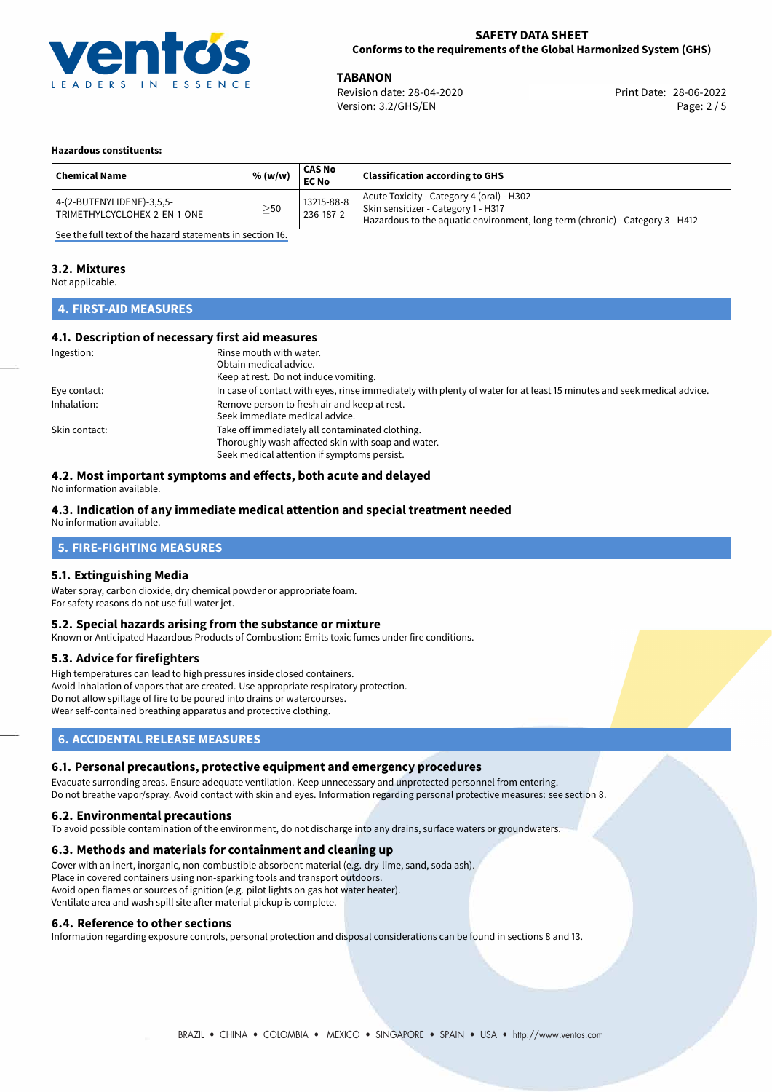

**TABANON**<br>
Revision date: 28-04-2020 **Print Date: 28-06-2022** Version: 3.2/GHS/EN Page: 2 / 5

#### **Hazardous constituents:**

| <b>Chemical Name</b>                                      | % (w/w)   | CAS No<br><b>EC No</b>  | <b>Classification according to GHS</b>                                                                                                                            |
|-----------------------------------------------------------|-----------|-------------------------|-------------------------------------------------------------------------------------------------------------------------------------------------------------------|
| 4-(2-BUTENYLIDENE)-3,5,5-<br>TRIMETHYLCYCLOHEX-2-EN-1-ONE | $\geq$ 50 | 13215-88-8<br>236-187-2 | Acute Toxicity - Category 4 (oral) - H302<br>Skin sensitizer - Category 1 - H317<br>Hazardous to the aquatic environment, long-term (chronic) - Category 3 - H412 |

[See the full text of the hazard statements in section 16.](#page-4-0)

## **3.2. Mixtures**

Not applicable.

## **4. FIRST-AID MEASURES**

## **4.1. Description of necessary first aid measures**

| Ingestion:    | Rinse mouth with water.                                                                                               |  |  |
|---------------|-----------------------------------------------------------------------------------------------------------------------|--|--|
|               | Obtain medical advice.                                                                                                |  |  |
|               | Keep at rest. Do not induce vomiting.                                                                                 |  |  |
| Eye contact:  | In case of contact with eyes, rinse immediately with plenty of water for at least 15 minutes and seek medical advice. |  |  |
| Inhalation:   | Remove person to fresh air and keep at rest.                                                                          |  |  |
|               | Seek immediate medical advice.                                                                                        |  |  |
| Skin contact: | Take off immediately all contaminated clothing.                                                                       |  |  |
|               | Thoroughly wash affected skin with soap and water.                                                                    |  |  |
|               | Seek medical attention if symptoms persist.                                                                           |  |  |

## **4.2. Most important symptoms and effects, both acute and delayed**

No information available.

## **4.3. Indication of any immediate medical attention and special treatment needed**

No information available.

## **5. FIRE-FIGHTING MEASURES**

## **5.1. Extinguishing Media**

Water spray, carbon dioxide, dry chemical powder or appropriate foam. For safety reasons do not use full water jet.

## **5.2. Special hazards arising from the substance or mixture**

Known or Anticipated Hazardous Products of Combustion: Emits toxic fumes under fire conditions.

## **5.3. Advice for firefighters**

High temperatures can lead to high pressures inside closed containers. Avoid inhalation of vapors that are created. Use appropriate respiratory protection. Do not allow spillage of fire to be poured into drains or watercourses. Wear self-contained breathing apparatus and protective clothing.

## **6. ACCIDENTAL RELEASE MEASURES**

## **6.1. Personal precautions, protective equipment and emergency procedures**

Evacuate surronding areas. Ensure adequate ventilation. Keep unnecessary and unprotected personnel from entering. Do not breathe vapor/spray. Avoid contact with skin and eyes. Information regarding personal protective measures: see section 8.

#### **6.2. Environmental precautions**

To avoid possible contamination of the environment, do not discharge into any drains, surface waters or groundwaters.

#### **6.3. Methods and materials for containment and cleaning up**

Cover with an inert, inorganic, non-combustible absorbent material (e.g. dry-lime, sand, soda ash). Place in covered containers using non-sparking tools and transport outdoors. Avoid open flames or sources of ignition (e.g. pilot lights on gas hot water heater). Ventilate area and wash spill site after material pickup is complete.

### **6.4. Reference to other sections**

Information regarding exposure controls, personal protection and disposal considerations can be found in sections 8 and 13.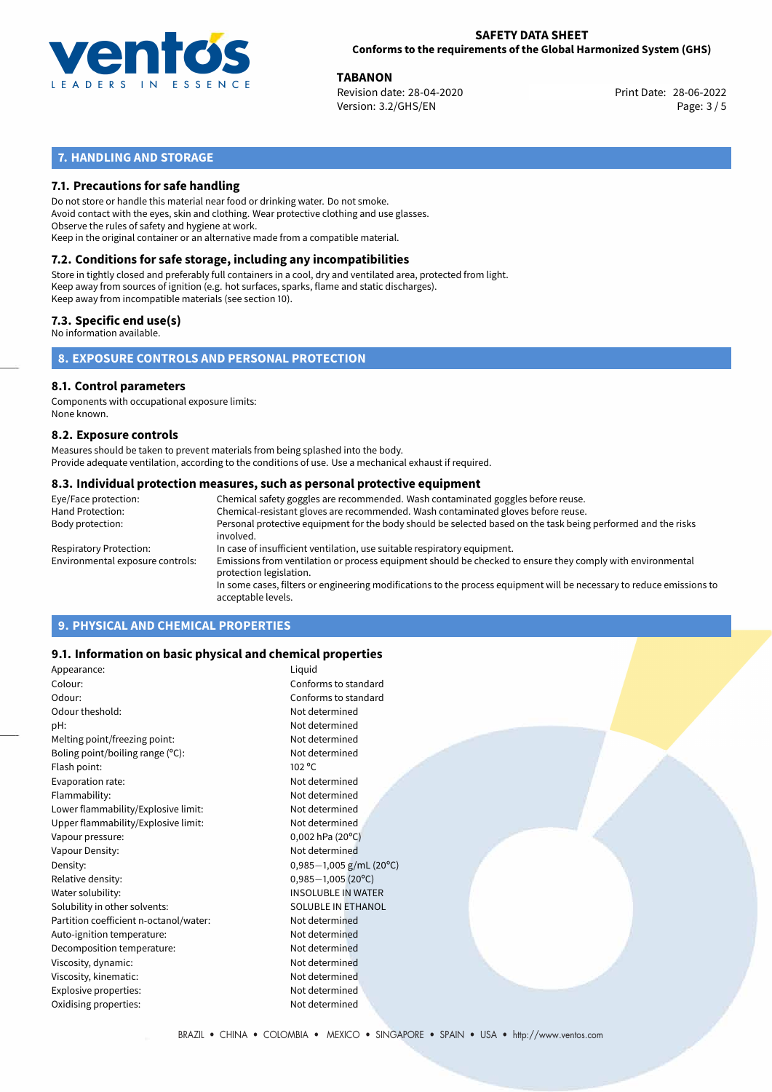

**TABANON**<br>
Revision date: 28-04-2020 **Print Date: 28-06-2022** Version: 3.2/GHS/EN Page: 3 / 5

## **7. HANDLING AND STORAGE**

## **7.1. Precautions for safe handling**

Do not store or handle this material near food or drinking water. Do not smoke. Avoid contact with the eyes, skin and clothing. Wear protective clothing and use glasses. Observe the rules of safety and hygiene at work. Keep in the original container or an alternative made from a compatible material.

# **7.2. Conditions for safe storage, including any incompatibilities**

Store in tightly closed and preferably full containers in a cool, dry and ventilated area, protected from light. Keep away from sources of ignition (e.g. hot surfaces, sparks, flame and static discharges). Keep away from incompatible materials (see section 10).

## **7.3. Specific end use(s)**

No information available.

**8. EXPOSURE CONTROLS AND PERSONAL PROTECTION**

## **8.1. Control parameters**

Components with occupational exposure limits: None known.

## **8.2. Exposure controls**

Measures should be taken to prevent materials from being splashed into the body. Provide adequate ventilation, according to the conditions of use. Use a mechanical exhaust if required.

## **8.3. Individual protection measures, such as personal protective equipment**

| Eye/Face protection:             | Chemical safety goggles are recommended. Wash contaminated goggles before reuse.                                                            |
|----------------------------------|---------------------------------------------------------------------------------------------------------------------------------------------|
| Hand Protection:                 | Chemical-resistant gloves are recommended. Wash contaminated gloves before reuse.                                                           |
| Body protection:                 | Personal protective equipment for the body should be selected based on the task being performed and the risks<br>involved.                  |
| Respiratory Protection:          | In case of insufficient ventilation, use suitable respiratory equipment.                                                                    |
| Environmental exposure controls: | Emissions from ventilation or process equipment should be checked to ensure they comply with environmental<br>protection legislation.       |
|                                  | In some cases, filters or engineering modifications to the process equipment will be necessary to reduce emissions to<br>acceptable levels. |
|                                  |                                                                                                                                             |

## **9. PHYSICAL AND CHEMICAL PROPERTIES**

## **9.1. Information on basic physical and chemical properties**

| Appearance:                            | Liquid                        |
|----------------------------------------|-------------------------------|
| Colour:                                | Conforms to standard          |
| Odour:                                 | Conforms to standard          |
| Odour theshold:                        | Not determined                |
| pH:                                    | Not determined                |
| Melting point/freezing point:          | Not determined                |
| Boling point/boiling range $(°C)$ :    | Not determined                |
| Flash point:                           | $102^{\circ}$ C               |
| Evaporation rate:                      | Not determined                |
| Flammability:                          | Not determined                |
| Lower flammability/Explosive limit:    | Not determined                |
| Upper flammability/Explosive limit:    | Not determined                |
| Vapour pressure:                       | $0,002$ hPa (20 $^{\circ}$ C) |
| Vapour Density:                        | Not determined                |
| Density:                               | $0,985-1,005$ g/mL (20°C)     |
| Relative density:                      | $0,985 - 1,005$ (20°C)        |
| Water solubility:                      | <b>INSOLUBLE IN WATER</b>     |
| Solubility in other solvents:          | <b>SOLUBLE IN ETHANOL</b>     |
| Partition coefficient n-octanol/water: | Not determined                |
| Auto-ignition temperature:             | Not determined                |
| Decomposition temperature:             | Not determined                |
| Viscosity, dynamic:                    | Not determined                |
| Viscosity, kinematic:                  | Not determined                |
| Explosive properties:                  | Not determined                |
| Oxidising properties:                  | Not determined                |
|                                        |                               |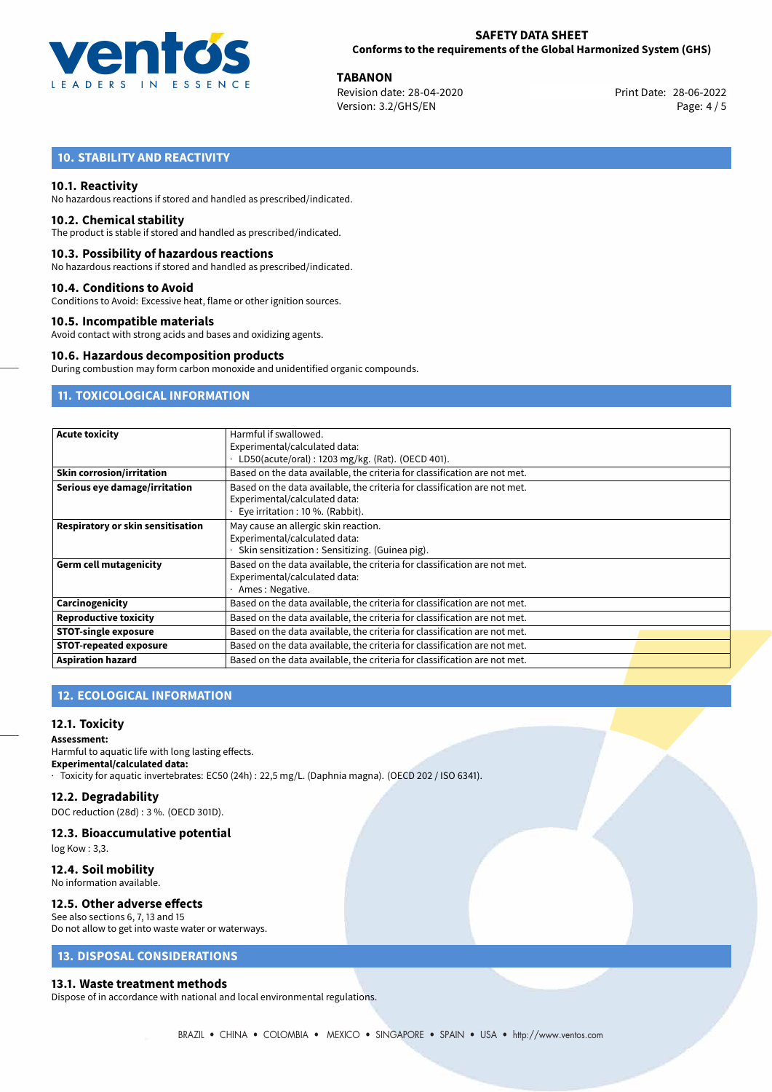

**TABANON**<br>
Revision date: 28-04-2020 **Print Date: 28-06-2022** Version: 3.2/GHS/EN Page: 4 / 5

## **10. STABILITY AND REACTIVITY**

## **10.1. Reactivity**

No hazardous reactions if stored and handled as prescribed/indicated.

### **10.2. Chemical stability**

The product is stable if stored and handled as prescribed/indicated.

### **10.3. Possibility of hazardous reactions**

No hazardous reactions if stored and handled as prescribed/indicated.

## **10.4. Conditions to Avoid**

Conditions to Avoid: Excessive heat, flame or other ignition sources.

## **10.5. Incompatible materials**

Avoid contact with strong acids and bases and oxidizing agents.

#### **10.6. Hazardous decomposition products**

During combustion may form carbon monoxide and unidentified organic compounds.

## **11. TOXICOLOGICAL INFORMATION**

| <b>Acute toxicity</b>             | Harmful if swallowed.                                                     |  |  |  |
|-----------------------------------|---------------------------------------------------------------------------|--|--|--|
|                                   | Experimental/calculated data:                                             |  |  |  |
|                                   | LD50(acute/oral): 1203 mg/kg. (Rat). (OECD 401).                          |  |  |  |
| <b>Skin corrosion/irritation</b>  | Based on the data available, the criteria for classification are not met. |  |  |  |
| Serious eye damage/irritation     | Based on the data available, the criteria for classification are not met. |  |  |  |
|                                   | Experimental/calculated data:                                             |  |  |  |
|                                   | Eye irritation: 10 %. (Rabbit).                                           |  |  |  |
| Respiratory or skin sensitisation | May cause an allergic skin reaction.                                      |  |  |  |
|                                   | Experimental/calculated data:                                             |  |  |  |
|                                   | Skin sensitization: Sensitizing. (Guinea pig).                            |  |  |  |
| <b>Germ cell mutagenicity</b>     | Based on the data available, the criteria for classification are not met. |  |  |  |
|                                   | Experimental/calculated data:                                             |  |  |  |
|                                   | Ames: Negative.                                                           |  |  |  |
| Carcinogenicity                   | Based on the data available, the criteria for classification are not met. |  |  |  |
| <b>Reproductive toxicity</b>      | Based on the data available, the criteria for classification are not met. |  |  |  |
| <b>STOT-single exposure</b>       | Based on the data available, the criteria for classification are not met. |  |  |  |
| <b>STOT-repeated exposure</b>     | Based on the data available, the criteria for classification are not met. |  |  |  |
| <b>Aspiration hazard</b>          | Based on the data available, the criteria for classification are not met. |  |  |  |

## **12. ECOLOGICAL INFORMATION**

## **12.1. Toxicity**

**Assessment:** Harmful to aquatic life with long lasting effects. **Experimental/calculated data:** · Toxicity for aquatic invertebrates: EC50 (24h) : 22,5 mg/L. (Daphnia magna). (OECD 202 / ISO 6341).

#### **12.2. Degradability**

DOC reduction (28d) : 3 %. (OECD 301D).

## **12.3. Bioaccumulative potential**

log Kow : 3,3.

#### **12.4. Soil mobility** No information available.

# **12.5. Other adverse effects**

## See also sections 6, 7, 13 and 15

Do not allow to get into waste water or waterways.

## **13. DISPOSAL CONSIDERATIONS**

#### **13.1. Waste treatment methods**

Dispose of in accordance with national and local environmental regulations.